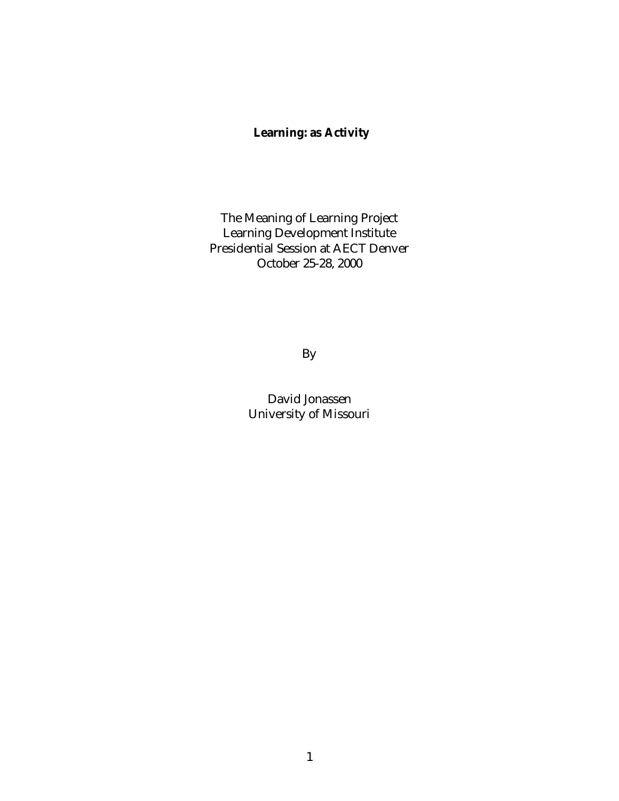# **Learning: as Activity**

The Meaning of Learning Project Learning Development Institute Presidential Session at AECT Denver October 25-28, 2000

By

David Jonassen University of Missouri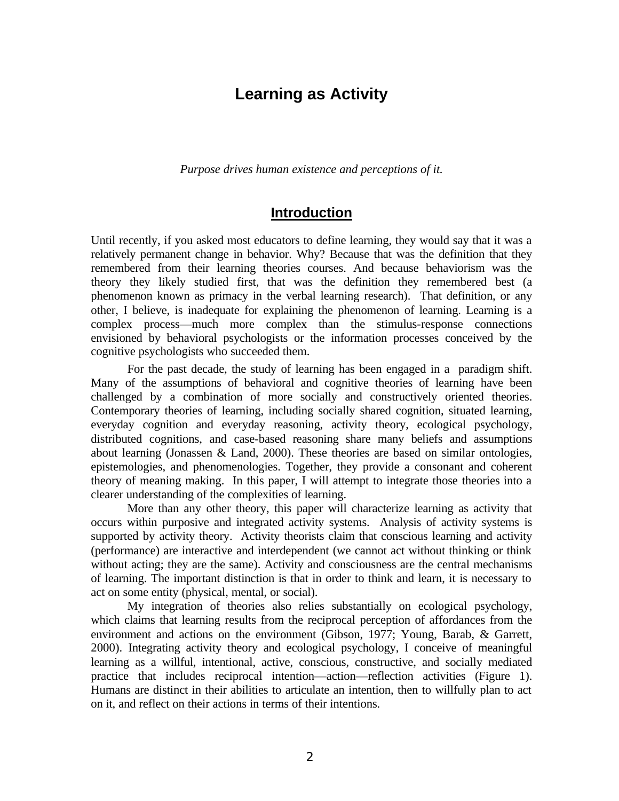# **Learning as Activity**

*Purpose drives human existence and perceptions of it.*

### **Introduction**

Until recently, if you asked most educators to define learning, they would say that it was a relatively permanent change in behavior. Why? Because that was the definition that they remembered from their learning theories courses. And because behaviorism was the theory they likely studied first, that was the definition they remembered best (a phenomenon known as primacy in the verbal learning research). That definition, or any other, I believe, is inadequate for explaining the phenomenon of learning. Learning is a complex process—much more complex than the stimulus-response connections envisioned by behavioral psychologists or the information processes conceived by the cognitive psychologists who succeeded them.

For the past decade, the study of learning has been engaged in a paradigm shift. Many of the assumptions of behavioral and cognitive theories of learning have been challenged by a combination of more socially and constructively oriented theories. Contemporary theories of learning, including socially shared cognition, situated learning, everyday cognition and everyday reasoning, activity theory, ecological psychology, distributed cognitions, and case-based reasoning share many beliefs and assumptions about learning (Jonassen & Land, 2000). These theories are based on similar ontologies, epistemologies, and phenomenologies. Together, they provide a consonant and coherent theory of meaning making. In this paper, I will attempt to integrate those theories into a clearer understanding of the complexities of learning.

More than any other theory, this paper will characterize learning as activity that occurs within purposive and integrated activity systems. Analysis of activity systems is supported by activity theory. Activity theorists claim that conscious learning and activity (performance) are interactive and interdependent (we cannot act without thinking or think without acting; they are the same). Activity and consciousness are the central mechanisms of learning. The important distinction is that in order to think and learn, it is necessary to act on some entity (physical, mental, or social).

My integration of theories also relies substantially on ecological psychology, which claims that learning results from the reciprocal perception of affordances from the environment and actions on the environment (Gibson, 1977; Young, Barab, & Garrett, 2000). Integrating activity theory and ecological psychology, I conceive of meaningful learning as a willful, intentional, active, conscious, constructive, and socially mediated practice that includes reciprocal intention—action—reflection activities (Figure 1). Humans are distinct in their abilities to articulate an intention, then to willfully plan to act on it, and reflect on their actions in terms of their intentions.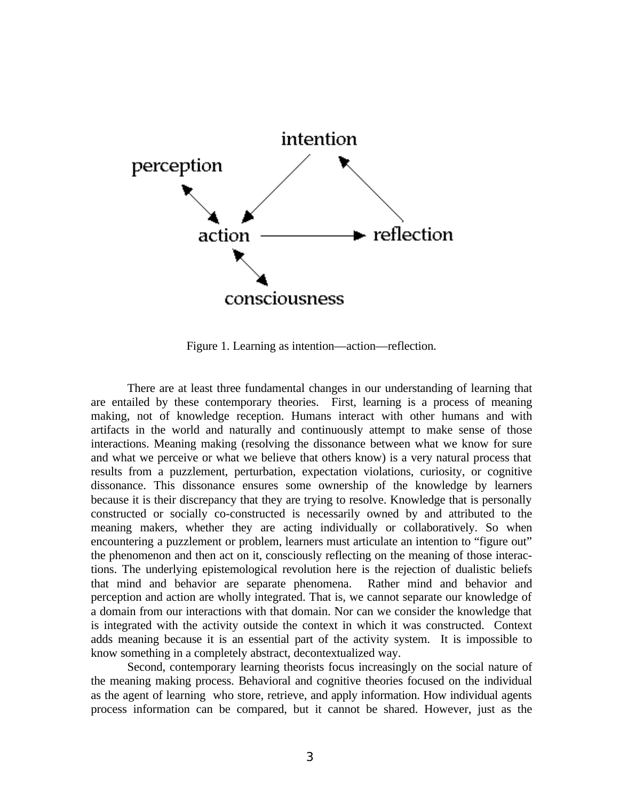

Figure 1. Learning as intention—action—reflection.

There are at least three fundamental changes in our understanding of learning that are entailed by these contemporary theories. First, learning is a process of meaning making, not of knowledge reception. Humans interact with other humans and with artifacts in the world and naturally and continuously attempt to make sense of those interactions. Meaning making (resolving the dissonance between what we know for sure and what we perceive or what we believe that others know) is a very natural process that results from a puzzlement, perturbation, expectation violations, curiosity, or cognitive dissonance. This dissonance ensures some ownership of the knowledge by learners because it is their discrepancy that they are trying to resolve. Knowledge that is personally constructed or socially co-constructed is necessarily owned by and attributed to the meaning makers, whether they are acting individually or collaboratively. So when encountering a puzzlement or problem, learners must articulate an intention to "figure out" the phenomenon and then act on it, consciously reflecting on the meaning of those interactions. The underlying epistemological revolution here is the rejection of dualistic beliefs that mind and behavior are separate phenomena. Rather mind and behavior and perception and action are wholly integrated. That is, we cannot separate our knowledge of a domain from our interactions with that domain. Nor can we consider the knowledge that is integrated with the activity outside the context in which it was constructed. Context adds meaning because it is an essential part of the activity system. It is impossible to know something in a completely abstract, decontextualized way.

Second, contemporary learning theorists focus increasingly on the social nature of the meaning making process. Behavioral and cognitive theories focused on the individual as the agent of learning who store, retrieve, and apply information. How individual agents process information can be compared, but it cannot be shared. However, just as the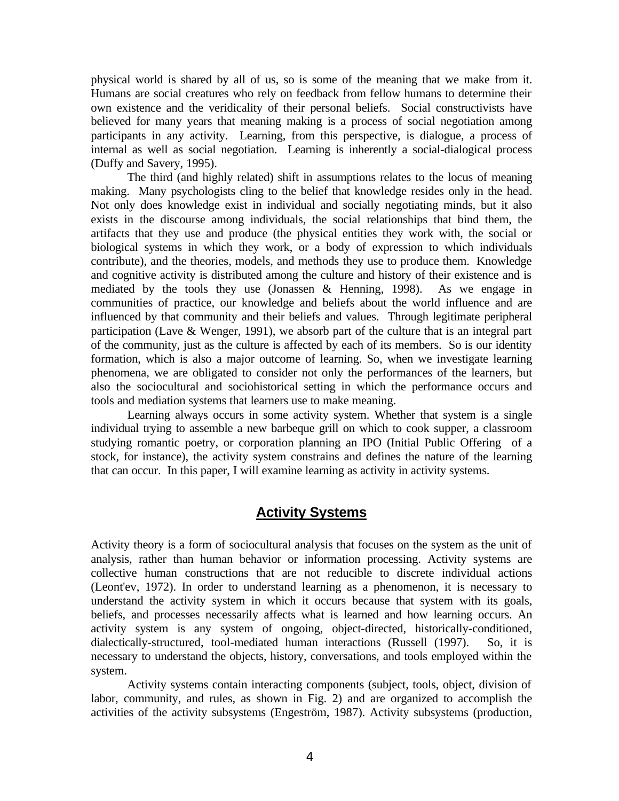physical world is shared by all of us, so is some of the meaning that we make from it. Humans are social creatures who rely on feedback from fellow humans to determine their own existence and the veridicality of their personal beliefs. Social constructivists have believed for many years that meaning making is a process of social negotiation among participants in any activity. Learning, from this perspective, is dialogue, a process of internal as well as social negotiation. Learning is inherently a social-dialogical process (Duffy and Savery, 1995).

The third (and highly related) shift in assumptions relates to the locus of meaning making. Many psychologists cling to the belief that knowledge resides only in the head. Not only does knowledge exist in individual and socially negotiating minds, but it also exists in the discourse among individuals, the social relationships that bind them, the artifacts that they use and produce (the physical entities they work with, the social or biological systems in which they work, or a body of expression to which individuals contribute), and the theories, models, and methods they use to produce them. Knowledge and cognitive activity is distributed among the culture and history of their existence and is mediated by the tools they use (Jonassen & Henning, 1998). As we engage in communities of practice, our knowledge and beliefs about the world influence and are influenced by that community and their beliefs and values. Through legitimate peripheral participation (Lave & Wenger, 1991), we absorb part of the culture that is an integral part of the community, just as the culture is affected by each of its members. So is our identity formation, which is also a major outcome of learning. So, when we investigate learning phenomena, we are obligated to consider not only the performances of the learners, but also the sociocultural and sociohistorical setting in which the performance occurs and tools and mediation systems that learners use to make meaning.

Learning always occurs in some activity system. Whether that system is a single individual trying to assemble a new barbeque grill on which to cook supper, a classroom studying romantic poetry, or corporation planning an IPO (Initial Public Offering of a stock, for instance), the activity system constrains and defines the nature of the learning that can occur. In this paper, I will examine learning as activity in activity systems.

# **Activity Systems**

Activity theory is a form of sociocultural analysis that focuses on the system as the unit of analysis, rather than human behavior or information processing. Activity systems are collective human constructions that are not reducible to discrete individual actions (Leont'ev, 1972). In order to understand learning as a phenomenon, it is necessary to understand the activity system in which it occurs because that system with its goals, beliefs, and processes necessarily affects what is learned and how learning occurs. An activity system is any system of ongoing, object-directed, historically-conditioned, dialectically-structured, tool-mediated human interactions (Russell (1997). So, it is necessary to understand the objects, history, conversations, and tools employed within the system.

Activity systems contain interacting components (subject, tools, object, division of labor, community, and rules, as shown in Fig. 2) and are organized to accomplish the activities of the activity subsystems (Engeström, 1987). Activity subsystems (production,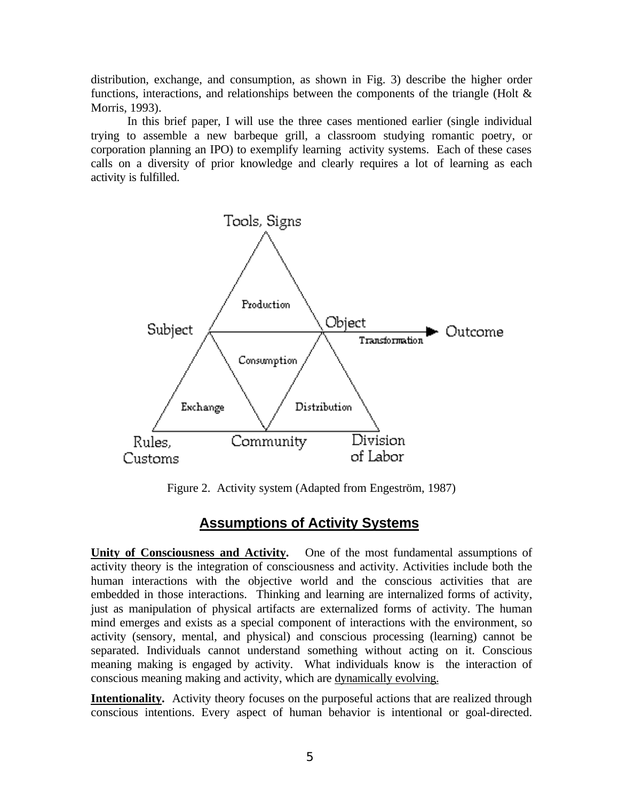distribution, exchange, and consumption, as shown in Fig. 3) describe the higher order functions, interactions, and relationships between the components of the triangle (Holt  $\&$ Morris, 1993).

In this brief paper, I will use the three cases mentioned earlier (single individual trying to assemble a new barbeque grill, a classroom studying romantic poetry, or corporation planning an IPO) to exemplify learning activity systems. Each of these cases calls on a diversity of prior knowledge and clearly requires a lot of learning as each activity is fulfilled.



Figure 2. Activity system (Adapted from Engeström, 1987)

# **Assumptions of Activity Systems**

**Unity of Consciousness and Activity.** One of the most fundamental assumptions of activity theory is the integration of consciousness and activity. Activities include both the human interactions with the objective world and the conscious activities that are embedded in those interactions. Thinking and learning are internalized forms of activity, just as manipulation of physical artifacts are externalized forms of activity. The human mind emerges and exists as a special component of interactions with the environment, so activity (sensory, mental, and physical) and conscious processing (learning) cannot be separated. Individuals cannot understand something without acting on it. Conscious meaning making is engaged by activity. What individuals know is the interaction of conscious meaning making and activity, which are dynamically evolving.

**Intentionality.** Activity theory focuses on the purposeful actions that are realized through conscious intentions. Every aspect of human behavior is intentional or goal-directed.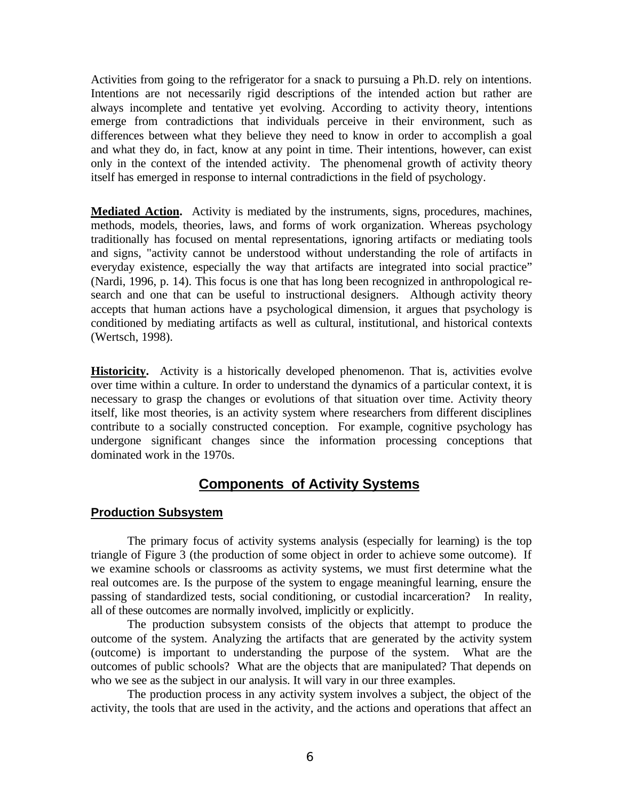Activities from going to the refrigerator for a snack to pursuing a Ph.D. rely on intentions. Intentions are not necessarily rigid descriptions of the intended action but rather are always incomplete and tentative yet evolving. According to activity theory, intentions emerge from contradictions that individuals perceive in their environment, such as differences between what they believe they need to know in order to accomplish a goal and what they do, in fact, know at any point in time. Their intentions, however, can exist only in the context of the intended activity. The phenomenal growth of activity theory itself has emerged in response to internal contradictions in the field of psychology.

**Mediated Action.** Activity is mediated by the instruments, signs, procedures, machines, methods, models, theories, laws, and forms of work organization. Whereas psychology traditionally has focused on mental representations, ignoring artifacts or mediating tools and signs, "activity cannot be understood without understanding the role of artifacts in everyday existence, especially the way that artifacts are integrated into social practice" (Nardi, 1996, p. 14). This focus is one that has long been recognized in anthropological research and one that can be useful to instructional designers. Although activity theory accepts that human actions have a psychological dimension, it argues that psychology is conditioned by mediating artifacts as well as cultural, institutional, and historical contexts (Wertsch, 1998).

**Historicity.** Activity is a historically developed phenomenon. That is, activities evolve over time within a culture. In order to understand the dynamics of a particular context, it is necessary to grasp the changes or evolutions of that situation over time. Activity theory itself, like most theories, is an activity system where researchers from different disciplines contribute to a socially constructed conception. For example, cognitive psychology has undergone significant changes since the information processing conceptions that dominated work in the 1970s.

# **Components of Activity Systems**

#### **Production Subsystem**

The primary focus of activity systems analysis (especially for learning) is the top triangle of Figure 3 (the production of some object in order to achieve some outcome). If we examine schools or classrooms as activity systems, we must first determine what the real outcomes are. Is the purpose of the system to engage meaningful learning, ensure the passing of standardized tests, social conditioning, or custodial incarceration? In reality, all of these outcomes are normally involved, implicitly or explicitly.

The production subsystem consists of the objects that attempt to produce the outcome of the system. Analyzing the artifacts that are generated by the activity system (outcome) is important to understanding the purpose of the system. What are the outcomes of public schools? What are the objects that are manipulated? That depends on who we see as the subject in our analysis. It will vary in our three examples.

The production process in any activity system involves a subject, the object of the activity, the tools that are used in the activity, and the actions and operations that affect an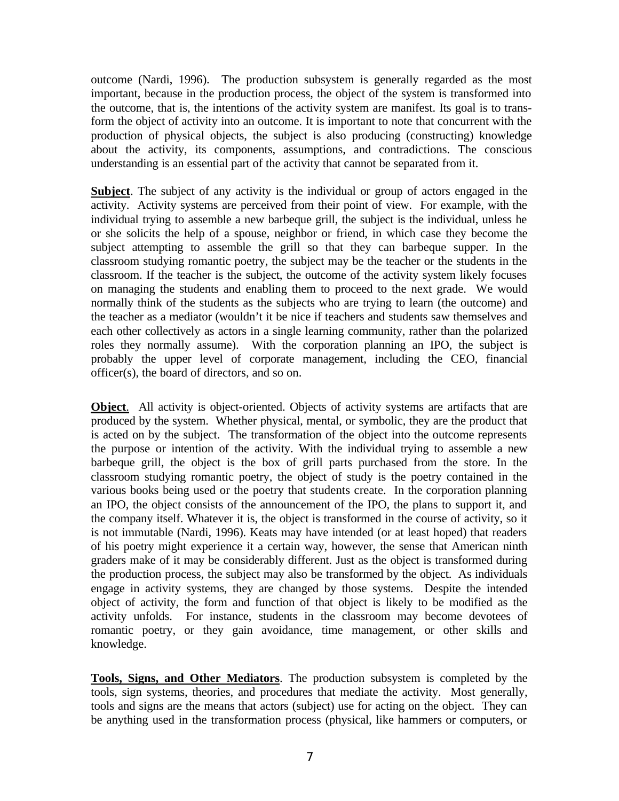outcome (Nardi, 1996). The production subsystem is generally regarded as the most important, because in the production process, the object of the system is transformed into the outcome, that is, the intentions of the activity system are manifest. Its goal is to transform the object of activity into an outcome. It is important to note that concurrent with the production of physical objects, the subject is also producing (constructing) knowledge about the activity, its components, assumptions, and contradictions. The conscious understanding is an essential part of the activity that cannot be separated from it.

**Subject**. The subject of any activity is the individual or group of actors engaged in the activity. Activity systems are perceived from their point of view. For example, with the individual trying to assemble a new barbeque grill, the subject is the individual, unless he or she solicits the help of a spouse, neighbor or friend, in which case they become the subject attempting to assemble the grill so that they can barbeque supper. In the classroom studying romantic poetry, the subject may be the teacher or the students in the classroom. If the teacher is the subject, the outcome of the activity system likely focuses on managing the students and enabling them to proceed to the next grade. We would normally think of the students as the subjects who are trying to learn (the outcome) and the teacher as a mediator (wouldn't it be nice if teachers and students saw themselves and each other collectively as actors in a single learning community, rather than the polarized roles they normally assume). With the corporation planning an IPO, the subject is probably the upper level of corporate management, including the CEO, financial officer(s), the board of directors, and so on.

**Object**. All activity is object-oriented. Objects of activity systems are artifacts that are produced by the system. Whether physical, mental, or symbolic, they are the product that is acted on by the subject. The transformation of the object into the outcome represents the purpose or intention of the activity. With the individual trying to assemble a new barbeque grill, the object is the box of grill parts purchased from the store. In the classroom studying romantic poetry, the object of study is the poetry contained in the various books being used or the poetry that students create. In the corporation planning an IPO, the object consists of the announcement of the IPO, the plans to support it, and the company itself. Whatever it is, the object is transformed in the course of activity, so it is not immutable (Nardi, 1996). Keats may have intended (or at least hoped) that readers of his poetry might experience it a certain way, however, the sense that American ninth graders make of it may be considerably different. Just as the object is transformed during the production process, the subject may also be transformed by the object. As individuals engage in activity systems, they are changed by those systems. Despite the intended object of activity, the form and function of that object is likely to be modified as the activity unfolds. For instance, students in the classroom may become devotees of romantic poetry, or they gain avoidance, time management, or other skills and knowledge.

**Tools, Signs, and Other Mediators**. The production subsystem is completed by the tools, sign systems, theories, and procedures that mediate the activity. Most generally, tools and signs are the means that actors (subject) use for acting on the object. They can be anything used in the transformation process (physical, like hammers or computers, or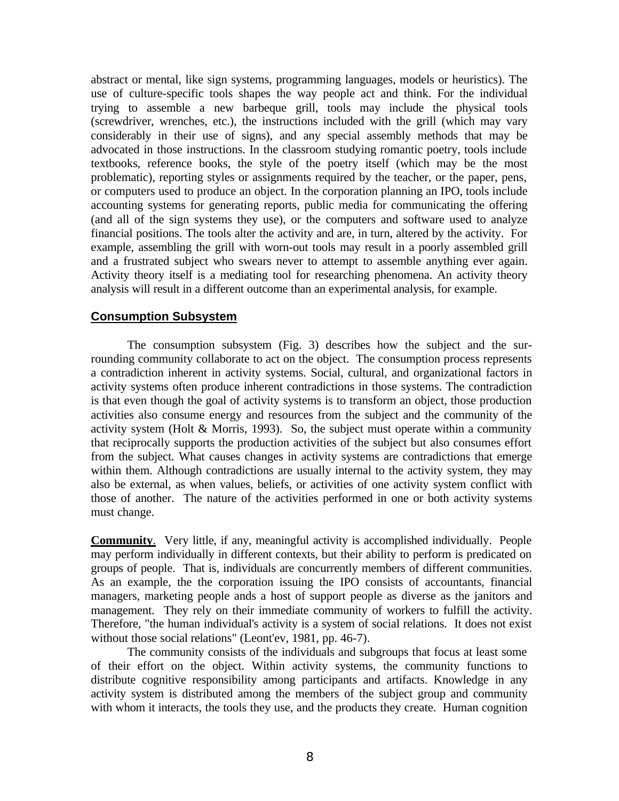abstract or mental, like sign systems, programming languages, models or heuristics). The use of culture-specific tools shapes the way people act and think. For the individual trying to assemble a new barbeque grill, tools may include the physical tools (screwdriver, wrenches, etc.), the instructions included with the grill (which may vary considerably in their use of signs), and any special assembly methods that may be advocated in those instructions. In the classroom studying romantic poetry, tools include textbooks, reference books, the style of the poetry itself (which may be the most problematic), reporting styles or assignments required by the teacher, or the paper, pens, or computers used to produce an object. In the corporation planning an IPO, tools include accounting systems for generating reports, public media for communicating the offering (and all of the sign systems they use), or the computers and software used to analyze financial positions. The tools alter the activity and are, in turn, altered by the activity. For example, assembling the grill with worn-out tools may result in a poorly assembled grill and a frustrated subject who swears never to attempt to assemble anything ever again. Activity theory itself is a mediating tool for researching phenomena. An activity theory analysis will result in a different outcome than an experimental analysis, for example.

#### **Consumption Subsystem**

The consumption subsystem (Fig. 3) describes how the subject and the surrounding community collaborate to act on the object. The consumption process represents a contradiction inherent in activity systems. Social, cultural, and organizational factors in activity systems often produce inherent contradictions in those systems. The contradiction is that even though the goal of activity systems is to transform an object, those production activities also consume energy and resources from the subject and the community of the activity system (Holt & Morris, 1993). So, the subject must operate within a community that reciprocally supports the production activities of the subject but also consumes effort from the subject. What causes changes in activity systems are contradictions that emerge within them. Although contradictions are usually internal to the activity system, they may also be external, as when values, beliefs, or activities of one activity system conflict with those of another. The nature of the activities performed in one or both activity systems must change.

**Community**. Very little, if any, meaningful activity is accomplished individually. People may perform individually in different contexts, but their ability to perform is predicated on groups of people. That is, individuals are concurrently members of different communities. As an example, the the corporation issuing the IPO consists of accountants, financial managers, marketing people ands a host of support people as diverse as the janitors and management. They rely on their immediate community of workers to fulfill the activity. Therefore, "the human individual's activity is a system of social relations. It does not exist without those social relations" (Leont'ev, 1981, pp. 46-7).

The community consists of the individuals and subgroups that focus at least some of their effort on the object. Within activity systems, the community functions to distribute cognitive responsibility among participants and artifacts. Knowledge in any activity system is distributed among the members of the subject group and community with whom it interacts, the tools they use, and the products they create. Human cognition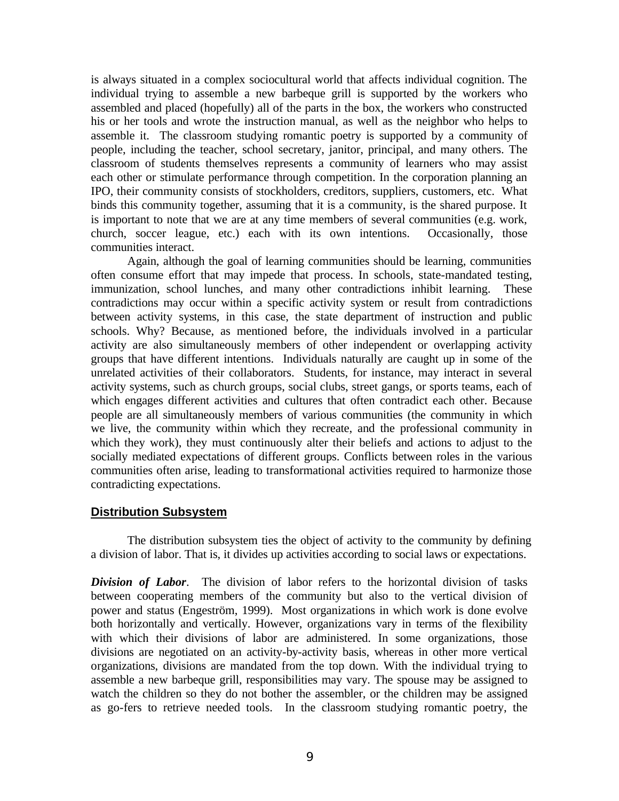is always situated in a complex sociocultural world that affects individual cognition. The individual trying to assemble a new barbeque grill is supported by the workers who assembled and placed (hopefully) all of the parts in the box, the workers who constructed his or her tools and wrote the instruction manual, as well as the neighbor who helps to assemble it. The classroom studying romantic poetry is supported by a community of people, including the teacher, school secretary, janitor, principal, and many others. The classroom of students themselves represents a community of learners who may assist each other or stimulate performance through competition. In the corporation planning an IPO, their community consists of stockholders, creditors, suppliers, customers, etc. What binds this community together, assuming that it is a community, is the shared purpose. It is important to note that we are at any time members of several communities (e.g. work, church, soccer league, etc.) each with its own intentions. Occasionally, those communities interact.

Again, although the goal of learning communities should be learning, communities often consume effort that may impede that process. In schools, state-mandated testing, immunization, school lunches, and many other contradictions inhibit learning. These contradictions may occur within a specific activity system or result from contradictions between activity systems, in this case, the state department of instruction and public schools. Why? Because, as mentioned before, the individuals involved in a particular activity are also simultaneously members of other independent or overlapping activity groups that have different intentions. Individuals naturally are caught up in some of the unrelated activities of their collaborators. Students, for instance, may interact in several activity systems, such as church groups, social clubs, street gangs, or sports teams, each of which engages different activities and cultures that often contradict each other. Because people are all simultaneously members of various communities (the community in which we live, the community within which they recreate, and the professional community in which they work), they must continuously alter their beliefs and actions to adjust to the socially mediated expectations of different groups. Conflicts between roles in the various communities often arise, leading to transformational activities required to harmonize those contradicting expectations.

#### **Distribution Subsystem**

The distribution subsystem ties the object of activity to the community by defining a division of labor. That is, it divides up activities according to social laws or expectations.

*Division of Labor*. The division of labor refers to the horizontal division of tasks between cooperating members of the community but also to the vertical division of power and status (Engeström, 1999). Most organizations in which work is done evolve both horizontally and vertically. However, organizations vary in terms of the flexibility with which their divisions of labor are administered. In some organizations, those divisions are negotiated on an activity-by-activity basis, whereas in other more vertical organizations, divisions are mandated from the top down. With the individual trying to assemble a new barbeque grill, responsibilities may vary. The spouse may be assigned to watch the children so they do not bother the assembler, or the children may be assigned as go-fers to retrieve needed tools. In the classroom studying romantic poetry, the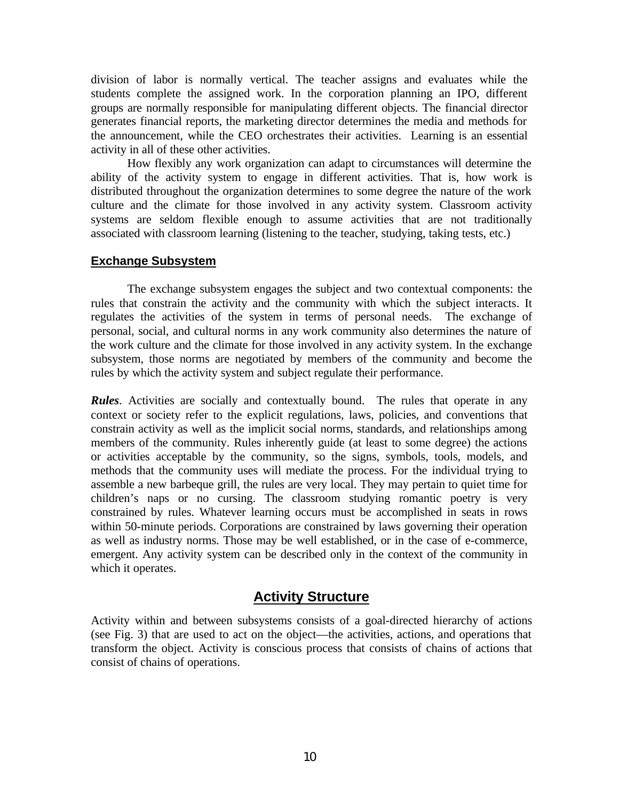division of labor is normally vertical. The teacher assigns and evaluates while the students complete the assigned work. In the corporation planning an IPO, different groups are normally responsible for manipulating different objects. The financial director generates financial reports, the marketing director determines the media and methods for the announcement, while the CEO orchestrates their activities. Learning is an essential activity in all of these other activities.

How flexibly any work organization can adapt to circumstances will determine the ability of the activity system to engage in different activities. That is, how work is distributed throughout the organization determines to some degree the nature of the work culture and the climate for those involved in any activity system. Classroom activity systems are seldom flexible enough to assume activities that are not traditionally associated with classroom learning (listening to the teacher, studying, taking tests, etc.)

### **Exchange Subsystem**

The exchange subsystem engages the subject and two contextual components: the rules that constrain the activity and the community with which the subject interacts. It regulates the activities of the system in terms of personal needs. The exchange of personal, social, and cultural norms in any work community also determines the nature of the work culture and the climate for those involved in any activity system. In the exchange subsystem, those norms are negotiated by members of the community and become the rules by which the activity system and subject regulate their performance.

*Rules*. Activities are socially and contextually bound. The rules that operate in any context or society refer to the explicit regulations, laws, policies, and conventions that constrain activity as well as the implicit social norms, standards, and relationships among members of the community. Rules inherently guide (at least to some degree) the actions or activities acceptable by the community, so the signs, symbols, tools, models, and methods that the community uses will mediate the process. For the individual trying to assemble a new barbeque grill, the rules are very local. They may pertain to quiet time for children's naps or no cursing. The classroom studying romantic poetry is very constrained by rules. Whatever learning occurs must be accomplished in seats in rows within 50-minute periods. Corporations are constrained by laws governing their operation as well as industry norms. Those may be well established, or in the case of e-commerce, emergent. Any activity system can be described only in the context of the community in which it operates.

# **Activity Structure**

Activity within and between subsystems consists of a goal-directed hierarchy of actions (see Fig. 3) that are used to act on the object—the activities, actions, and operations that transform the object. Activity is conscious process that consists of chains of actions that consist of chains of operations.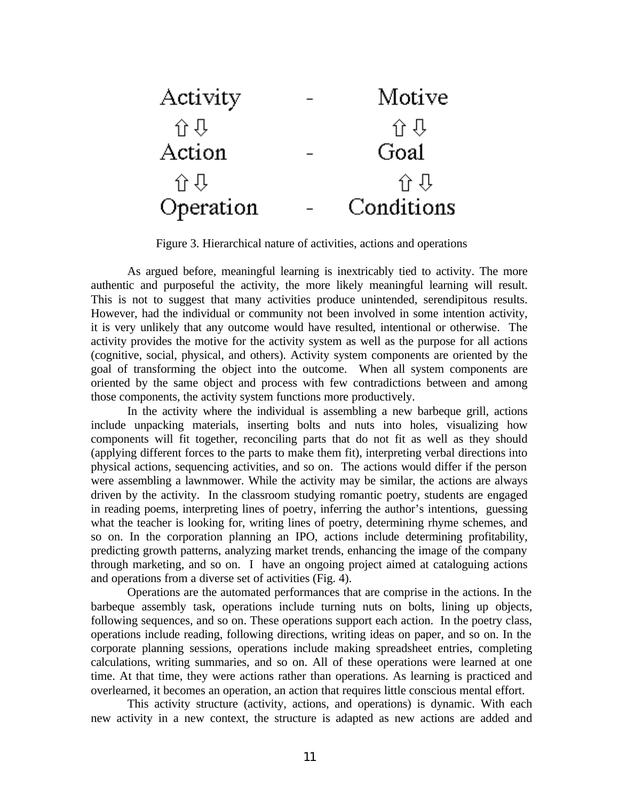

Figure 3. Hierarchical nature of activities, actions and operations

As argued before, meaningful learning is inextricably tied to activity. The more authentic and purposeful the activity, the more likely meaningful learning will result. This is not to suggest that many activities produce unintended, serendipitous results. However, had the individual or community not been involved in some intention activity, it is very unlikely that any outcome would have resulted, intentional or otherwise. The activity provides the motive for the activity system as well as the purpose for all actions (cognitive, social, physical, and others). Activity system components are oriented by the goal of transforming the object into the outcome. When all system components are oriented by the same object and process with few contradictions between and among those components, the activity system functions more productively.

In the activity where the individual is assembling a new barbeque grill, actions include unpacking materials, inserting bolts and nuts into holes, visualizing how components will fit together, reconciling parts that do not fit as well as they should (applying different forces to the parts to make them fit), interpreting verbal directions into physical actions, sequencing activities, and so on. The actions would differ if the person were assembling a lawnmower. While the activity may be similar, the actions are always driven by the activity. In the classroom studying romantic poetry, students are engaged in reading poems, interpreting lines of poetry, inferring the author's intentions, guessing what the teacher is looking for, writing lines of poetry, determining rhyme schemes, and so on. In the corporation planning an IPO, actions include determining profitability, predicting growth patterns, analyzing market trends, enhancing the image of the company through marketing, and so on. I have an ongoing project aimed at cataloguing actions and operations from a diverse set of activities (Fig. 4).

Operations are the automated performances that are comprise in the actions. In the barbeque assembly task, operations include turning nuts on bolts, lining up objects, following sequences, and so on. These operations support each action. In the poetry class, operations include reading, following directions, writing ideas on paper, and so on. In the corporate planning sessions, operations include making spreadsheet entries, completing calculations, writing summaries, and so on. All of these operations were learned at one time. At that time, they were actions rather than operations. As learning is practiced and overlearned, it becomes an operation, an action that requires little conscious mental effort.

This activity structure (activity, actions, and operations) is dynamic. With each new activity in a new context, the structure is adapted as new actions are added and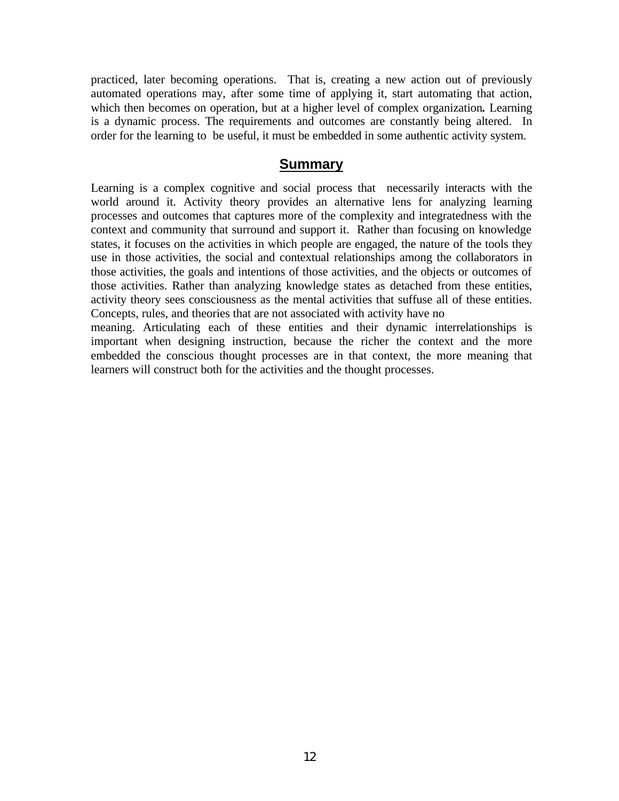practiced, later becoming operations. That is, creating a new action out of previously automated operations may, after some time of applying it, start automating that action, which then becomes on operation, but at a higher level of complex organization*.* Learning is a dynamic process. The requirements and outcomes are constantly being altered. In order for the learning to be useful, it must be embedded in some authentic activity system.

### **Summary**

Learning is a complex cognitive and social process that necessarily interacts with the world around it. Activity theory provides an alternative lens for analyzing learning processes and outcomes that captures more of the complexity and integratedness with the context and community that surround and support it. Rather than focusing on knowledge states, it focuses on the activities in which people are engaged, the nature of the tools they use in those activities, the social and contextual relationships among the collaborators in those activities, the goals and intentions of those activities, and the objects or outcomes of those activities. Rather than analyzing knowledge states as detached from these entities, activity theory sees consciousness as the mental activities that suffuse all of these entities. Concepts, rules, and theories that are not associated with activity have no

meaning. Articulating each of these entities and their dynamic interrelationships is important when designing instruction, because the richer the context and the more embedded the conscious thought processes are in that context, the more meaning that learners will construct both for the activities and the thought processes.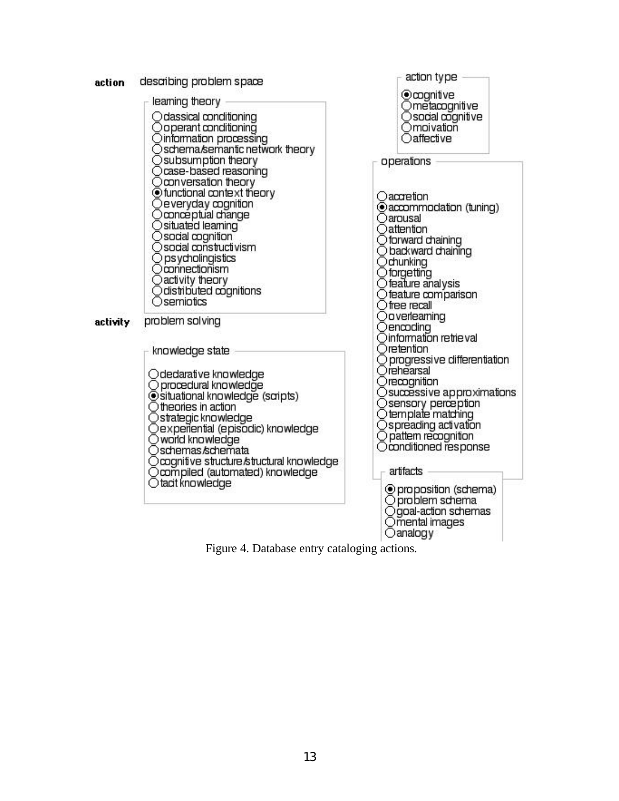

Figure 4. Database entry cataloging actions.